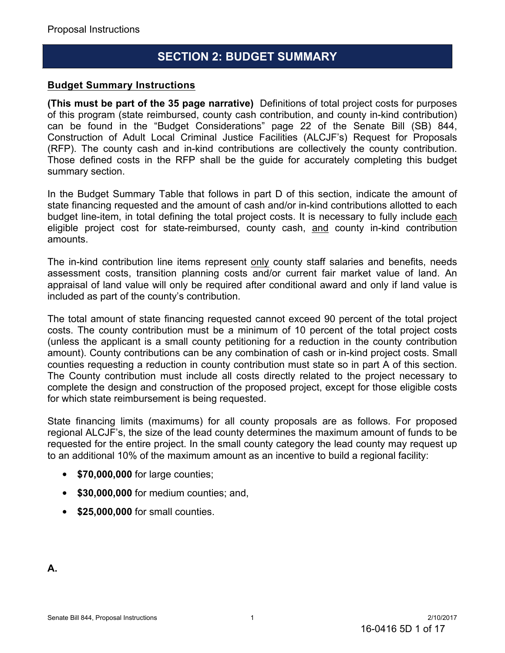### **SECTION 2: BUDGET SUMMARY**

### **Budget Summary Instructions**

**(This must be part of the 35 page narrative)** Definitions of total project costs for purposes of this program (state reimbursed, county cash contribution, and county in-kind contribution) can be found in the "Budget Considerations" page 22 of the Senate Bill (SB) 844, Construction of Adult Local Criminal Justice Facilities (ALCJF's) Request for Proposals (RFP). The county cash and in-kind contributions are collectively the county contribution. Those defined costs in the RFP shall be the guide for accurately completing this budget summary section.

In the Budget Summary Table that follows in part D of this section, indicate the amount of state financing requested and the amount of cash and/or in-kind contributions allotted to each budget line-item, in total defining the total project costs. It is necessary to fully include each eligible project cost for state-reimbursed, county cash, and county in-kind contribution amounts.

The in-kind contribution line items represent only county staff salaries and benefits, needs assessment costs, transition planning costs and/or current fair market value of land. An appraisal of land value will only be required after conditional award and only if land value is included as part of the county's contribution.

The total amount of state financing requested cannot exceed 90 percent of the total project costs. The county contribution must be a minimum of 10 percent of the total project costs (unless the applicant is a small county petitioning for a reduction in the county contribution amount). County contributions can be any combination of cash or in-kind project costs. Small counties requesting a reduction in county contribution must state so in part A of this section. The County contribution must include all costs directly related to the project necessary to complete the design and construction of the proposed project, except for those eligible costs for which state reimbursement is being requested.

State financing limits (maximums) for all county proposals are as follows. For proposed regional ALCJF's, the size of the lead county determines the maximum amount of funds to be requested for the entire project. In the small county category the lead county may request up to an additional 10% of the maximum amount as an incentive to build a regional facility:

- **\$70,000,000** for large counties;
- **\$30,000,000** for medium counties; and,
- **\$25,000,000** for small counties.

**A.**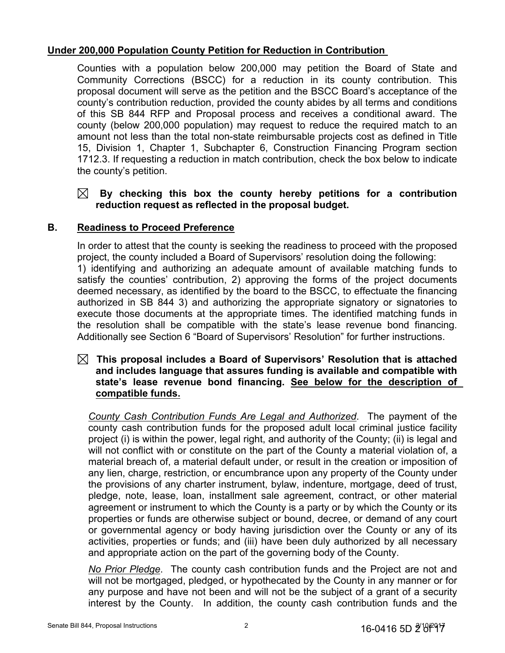### **Under 200,000 Population County Petition for Reduction in Contribution**

Counties with a population below 200,000 may petition the Board of State and Community Corrections (BSCC) for a reduction in its county contribution. This proposal document will serve as the petition and the BSCC Board's acceptance of the county's contribution reduction, provided the county abides by all terms and conditions of this SB 844 RFP and Proposal process and receives a conditional award. The county (below 200,000 population) may request to reduce the required match to an amount not less than the total non-state reimbursable projects cost as defined in Title 15, Division 1, Chapter 1, Subchapter 6, Construction Financing Program section 1712.3. If requesting a reduction in match contribution, check the box below to indicate the county's petition.

### **By checking this box the county hereby petitions for a contribution reduction request as reflected in the proposal budget.**

### **B. Readiness to Proceed Preference**

In order to attest that the county is seeking the readiness to proceed with the proposed project, the county included a Board of Supervisors' resolution doing the following: 1) identifying and authorizing an adequate amount of available matching funds to satisfy the counties' contribution, 2) approving the forms of the project documents deemed necessary, as identified by the board to the BSCC, to effectuate the financing authorized in SB 844 3) and authorizing the appropriate signatory or signatories to execute those documents at the appropriate times. The identified matching funds in the resolution shall be compatible with the state's lease revenue bond financing. Additionally see Section 6 "Board of Supervisors' Resolution" for further instructions.

### **This proposal includes a Board of Supervisors' Resolution that is attached and includes language that assures funding is available and compatible with state's lease revenue bond financing. See below for the description of compatible funds.**

*County Cash Contribution Funds Are Legal and Authorized*. The payment of the county cash contribution funds for the proposed adult local criminal justice facility project (i) is within the power, legal right, and authority of the County; (ii) is legal and will not conflict with or constitute on the part of the County a material violation of, a material breach of, a material default under, or result in the creation or imposition of any lien, charge, restriction, or encumbrance upon any property of the County under the provisions of any charter instrument, bylaw, indenture, mortgage, deed of trust, pledge, note, lease, loan, installment sale agreement, contract, or other material agreement or instrument to which the County is a party or by which the County or its properties or funds are otherwise subject or bound, decree, or demand of any court or governmental agency or body having jurisdiction over the County or any of its activities, properties or funds; and (iii) have been duly authorized by all necessary and appropriate action on the part of the governing body of the County.

*No Prior Pledge*. The county cash contribution funds and the Project are not and will not be mortgaged, pledged, or hypothecated by the County in any manner or for any purpose and have not been and will not be the subject of a grant of a security interest by the County. In addition, the county cash contribution funds and the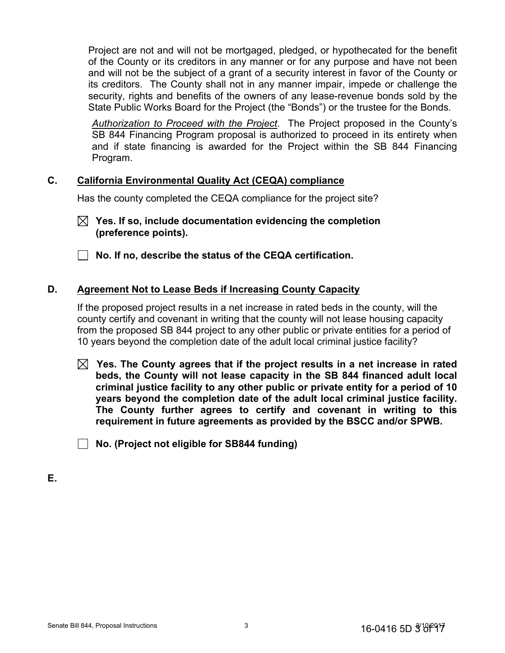Project are not and will not be mortgaged, pledged, or hypothecated for the benefit of the County or its creditors in any manner or for any purpose and have not been and will not be the subject of a grant of a security interest in favor of the County or its creditors. The County shall not in any manner impair, impede or challenge the security, rights and benefits of the owners of any lease-revenue bonds sold by the State Public Works Board for the Project (the "Bonds") or the trustee for the Bonds.

*Authorization to Proceed with the Project*. The Project proposed in the County's SB 844 Financing Program proposal is authorized to proceed in its entirety when and if state financing is awarded for the Project within the SB 844 Financing Program.

#### **C. California Environmental Quality Act (CEQA) compliance**

Has the county completed the CEQA compliance for the project site?

**Yes. If so, include documentation evidencing the completion (preference points).** 

**No. If no, describe the status of the CEQA certification.**

### **D. Agreement Not to Lease Beds if Increasing County Capacity**

If the proposed project results in a net increase in rated beds in the county, will the county certify and covenant in writing that the county will not lease housing capacity from the proposed SB 844 project to any other public or private entities for a period of 10 years beyond the completion date of the adult local criminal justice facility?

**Yes. The County agrees that if the project results in a net increase in rated beds, the County will not lease capacity in the SB 844 financed adult local criminal justice facility to any other public or private entity for a period of 10 years beyond the completion date of the adult local criminal justice facility. The County further agrees to certify and covenant in writing to this requirement in future agreements as provided by the BSCC and/or SPWB.**

**No. (Project not eligible for SB844 funding)**

**E.**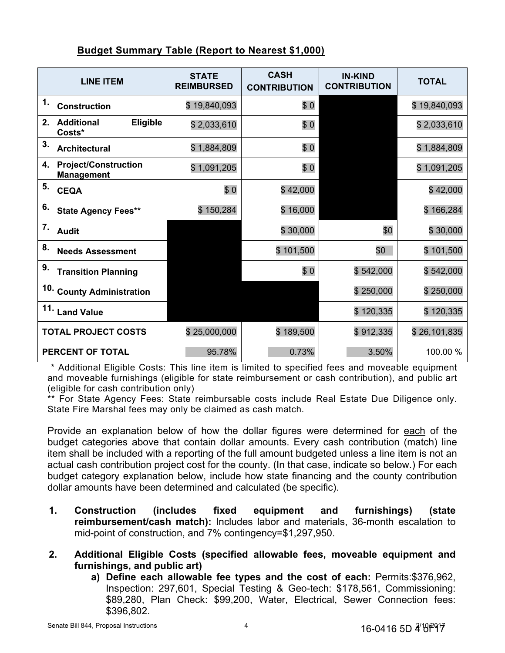|--|

| <b>LINE ITEM</b>                                       | <b>STATE</b><br><b>REIMBURSED</b> | <b>CASH</b><br><b>CONTRIBUTION</b> | <b>IN-KIND</b><br><b>CONTRIBUTION</b> | <b>TOTAL</b> |
|--------------------------------------------------------|-----------------------------------|------------------------------------|---------------------------------------|--------------|
| 1.<br><b>Construction</b>                              | \$19,840,093                      | \$0                                |                                       | \$19,840,093 |
| Eligible<br>2.<br><b>Additional</b><br>Costs*          | \$2,033,610                       | \$0                                |                                       | \$2,033,610  |
| 3.<br><b>Architectural</b>                             | \$1,884,809                       | \$0                                |                                       | \$1,884,809  |
| <b>Project/Construction</b><br>4.<br><b>Management</b> | \$1,091,205                       | \$0                                |                                       | \$1,091,205  |
| 5.<br><b>CEQA</b>                                      | \$0                               | \$42,000                           |                                       | \$42,000     |
| 6.<br><b>State Agency Fees**</b>                       | \$150,284                         | \$16,000                           |                                       | \$166,284    |
| 7.<br><b>Audit</b>                                     |                                   | \$30,000                           | \$0                                   | \$30,000     |
| 8.<br><b>Needs Assessment</b>                          |                                   | \$101,500                          | \$0                                   | \$101,500    |
| 9.<br><b>Transition Planning</b>                       |                                   | \$0                                | \$542,000                             | \$542,000    |
| 10. County Administration                              |                                   |                                    | \$250,000                             | \$250,000    |
| 11.<br><b>Land Value</b>                               |                                   |                                    | \$120,335                             | \$120,335    |
| <b>TOTAL PROJECT COSTS</b>                             | \$25,000,000                      | \$189,500                          | \$912,335                             | \$26,101,835 |
| PERCENT OF TOTAL                                       | 95.78%                            | 0.73%                              | 3.50%                                 | 100.00 %     |

\* Additional Eligible Costs: This line item is limited to specified fees and moveable equipment and moveable furnishings (eligible for state reimbursement or cash contribution), and public art (eligible for cash contribution only)

\*\* For State Agency Fees: State reimbursable costs include Real Estate Due Diligence only. State Fire Marshal fees may only be claimed as cash match.

Provide an explanation below of how the dollar figures were determined for each of the budget categories above that contain dollar amounts. Every cash contribution (match) line item shall be included with a reporting of the full amount budgeted unless a line item is not an actual cash contribution project cost for the county. (In that case, indicate so below.) For each budget category explanation below, include how state financing and the county contribution dollar amounts have been determined and calculated (be specific).

- **1. Construction (includes fixed equipment and furnishings) (state reimbursement/cash match):** Includes labor and materials, 36-month escalation to mid-point of construction, and 7% contingency=\$1,297,950.
- **2. Additional Eligible Costs (specified allowable fees, moveable equipment and furnishings, and public art)**
	- **a) Define each allowable fee types and the cost of each:** Permits:\$376,962, Inspection: 297,601, Special Testing & Geo-tech: \$178,561, Commissioning: \$89,280, Plan Check: \$99,200, Water, Electrical, Sewer Connection fees: \$396,802.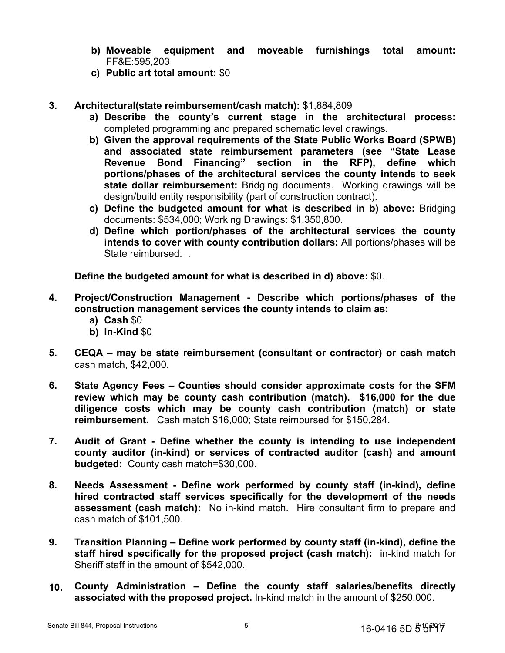- **b) Moveable equipment and moveable furnishings total amount:**  FF&E:595,203
- **c) Public art total amount:** \$0

#### **3. Architectural(state reimbursement/cash match):** \$1,884,809

- **a) Describe the county's current stage in the architectural process:**  completed programming and prepared schematic level drawings.
- **b) Given the approval requirements of the State Public Works Board (SPWB) and associated state reimbursement parameters (see "State Lease Revenue Bond Financing" section in the RFP), define which portions/phases of the architectural services the county intends to seek state dollar reimbursement:** Bridging documents. Working drawings will be design/build entity responsibility (part of construction contract).
- **c) Define the budgeted amount for what is described in b) above:** Bridging documents: \$534,000; Working Drawings: \$1,350,800.
- **d) Define which portion/phases of the architectural services the county intends to cover with county contribution dollars:** All portions/phases will be State reimbursed.

**Define the budgeted amount for what is described in d) above:** \$0.

- **4. Project/Construction Management Describe which portions/phases of the construction management services the county intends to claim as:**
	- **a) Cash** \$0
	- **b) In-Kind** \$0
- **5. CEQA may be state reimbursement (consultant or contractor) or cash match**  cash match, \$42,000.
- **6. State Agency Fees Counties should consider approximate costs for the SFM review which may be county cash contribution (match). \$16,000 for the due diligence costs which may be county cash contribution (match) or state reimbursement.** Cash match \$16,000; State reimbursed for \$150,284.
- **7. Audit of Grant Define whether the county is intending to use independent county auditor (in-kind) or services of contracted auditor (cash) and amount budgeted:** County cash match=\$30,000.
- **8. Needs Assessment Define work performed by county staff (in-kind), define hired contracted staff services specifically for the development of the needs assessment (cash match):** No in-kind match. Hire consultant firm to prepare and cash match of \$101,500.
- **9. Transition Planning Define work performed by county staff (in-kind), define the staff hired specifically for the proposed project (cash match):** in-kind match for Sheriff staff in the amount of \$542,000.
- **10. County Administration Define the county staff salaries/benefits directly associated with the proposed project.** In-kind match in the amount of \$250,000.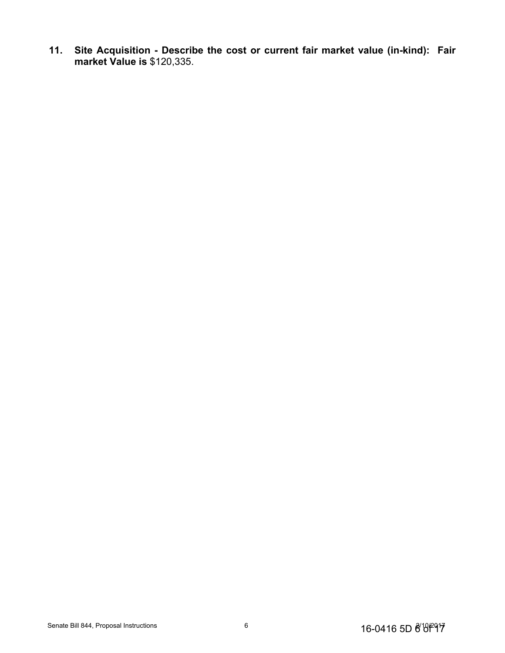**11. Site Acquisition - Describe the cost or current fair market value (in-kind): Fair market Value is** \$120,335.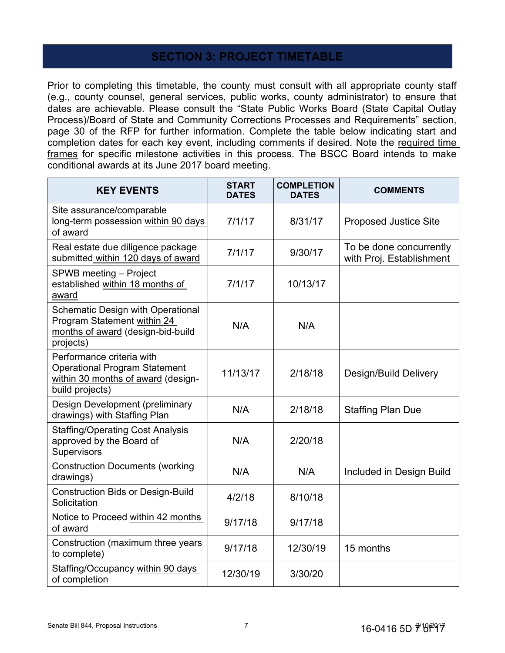### **SECTION 3: PROJECT TIMETABLE**

Prior to completing this timetable, the county must consult with all appropriate county staff (e.g., county counsel, general services, public works, county administrator) to ensure that dates are achievable. Please consult the "State Public Works Board (State Capital Outlay Process)/Board of State and Community Corrections Processes and Requirements" section, page 30 of the RFP for further information. Complete the table below indicating start and completion dates for each key event, including comments if desired. Note the required time frames for specific milestone activities in this process. The BSCC Board intends to make conditional awards at its June 2017 board meeting.

| <b>KEY EVENTS</b>                                                                                                          | <b>START</b><br><b>DATES</b> | <b>COMPLETION</b><br><b>DATES</b> | <b>COMMENTS</b>                                     |
|----------------------------------------------------------------------------------------------------------------------------|------------------------------|-----------------------------------|-----------------------------------------------------|
| Site assurance/comparable<br>long-term possession within 90 days<br>of award                                               | 7/1/17                       | 8/31/17                           | <b>Proposed Justice Site</b>                        |
| Real estate due diligence package<br>submitted within 120 days of award                                                    | 7/1/17<br>9/30/17            |                                   | To be done concurrently<br>with Proj. Establishment |
| SPWB meeting - Project<br>established within 18 months of<br>award                                                         | 7/1/17                       | 10/13/17                          |                                                     |
| <b>Schematic Design with Operational</b><br>Program Statement within 24<br>months of award (design-bid-build<br>projects)  | N/A                          | N/A                               |                                                     |
| Performance criteria with<br><b>Operational Program Statement</b><br>within 30 months of award (design-<br>build projects) | 11/13/17                     | 2/18/18                           | Design/Build Delivery                               |
| Design Development (preliminary<br>drawings) with Staffing Plan                                                            | N/A                          | 2/18/18                           | <b>Staffing Plan Due</b>                            |
| <b>Staffing/Operating Cost Analysis</b><br>approved by the Board of<br>Supervisors                                         | N/A                          | 2/20/18                           |                                                     |
| <b>Construction Documents (working</b><br>drawings)                                                                        | N/A                          | N/A                               | Included in Design Build                            |
| <b>Construction Bids or Design-Build</b><br>Solicitation                                                                   | 4/2/18                       | 8/10/18                           |                                                     |
| Notice to Proceed within 42 months<br>of award                                                                             | 9/17/18                      | 9/17/18                           |                                                     |
| Construction (maximum three years<br>to complete)                                                                          | 9/17/18                      | 12/30/19                          | 15 months                                           |
| Staffing/Occupancy within 90 days<br>of completion                                                                         | 12/30/19                     | 3/30/20                           |                                                     |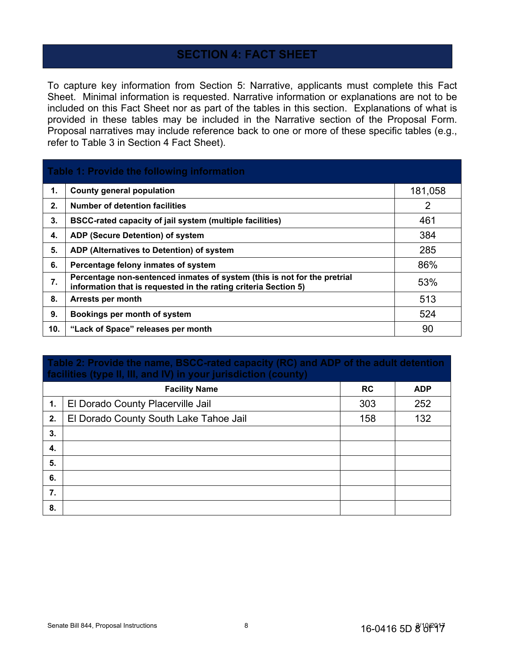### **SECTION 4: FACT SHEET**

To capture key information from Section 5: Narrative, applicants must complete this Fact Sheet. Minimal information is requested. Narrative information or explanations are not to be included on this Fact Sheet nor as part of the tables in this section. Explanations of what is provided in these tables may be included in the Narrative section of the Proposal Form. Proposal narratives may include reference back to one or more of these specific tables (e.g., refer to Table 3 in Section 4 Fact Sheet).

## **Table 1: Provide the following information 1.**  $\vert$  County general population **181,058 2. Number of detention facilities** 2 **3. BSCC-rated capacity of jail system (multiple facilities)** 461 **4. ADP (Secure Detention) of system** 384 **5. ADP (Alternatives to Detention) of system** 285 **6.** Percentage felony inmates of system **86% 7. Percentage non-sentenced inmates of system (this is not for the pretrial information that is requested in the rating criteria Section 5)** 53% **8. Arrests per month** 513 **9. Bookings per month of system** 524 **10. "Lack of Space" releases per month** 90

## **Table 2: Provide the name, BSCC-rated capacity (RC) and ADP of the adult detention facilities (type II, III, and IV) in your jurisdiction (county) Facility Name RC ADP** 1. | El Dorado County Placerville Jail 303 | 252 **2.** El Dorado County South Lake Tahoe Jail 158 158 132 **3. 4. 5.**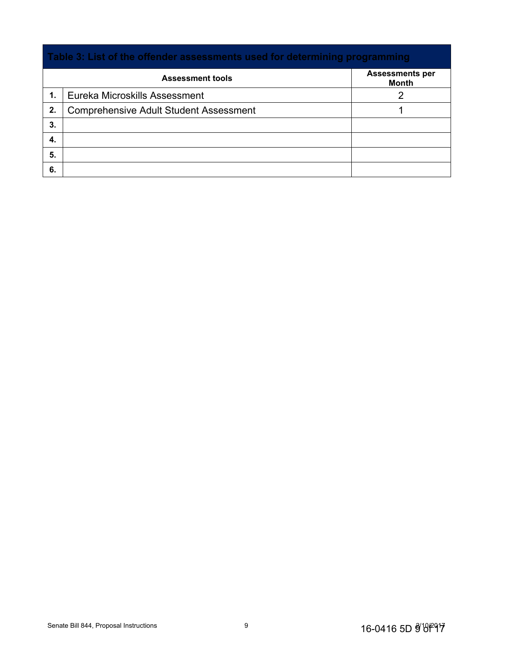# **Table 3: List of the offender assessments used for determining programming Assessment tools Assessments per Month 1.** Eureka Microskills Assessment 2 **2.** Comprehensive Adult Student Assessment 1 **3. 4. 5. 6.**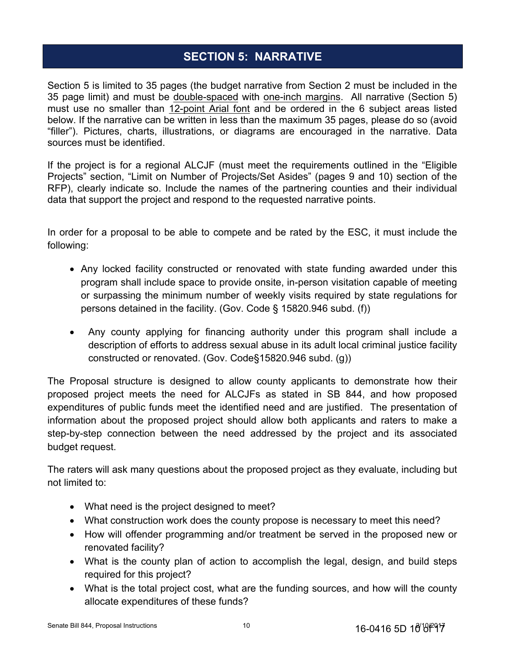## **SECTION 5: NARRATIVE**

Section 5 is limited to 35 pages (the budget narrative from Section 2 must be included in the 35 page limit) and must be double-spaced with one-inch margins. All narrative (Section 5) must use no smaller than 12-point Arial font and be ordered in the 6 subject areas listed below. If the narrative can be written in less than the maximum 35 pages, please do so (avoid "filler"). Pictures, charts, illustrations, or diagrams are encouraged in the narrative. Data sources must be identified.

If the project is for a regional ALCJF (must meet the requirements outlined in the "Eligible Projects" section, "Limit on Number of Projects/Set Asides" (pages 9 and 10) section of the RFP), clearly indicate so. Include the names of the partnering counties and their individual data that support the project and respond to the requested narrative points.

In order for a proposal to be able to compete and be rated by the ESC, it must include the following:

- Any locked facility constructed or renovated with state funding awarded under this program shall include space to provide onsite, in-person visitation capable of meeting or surpassing the minimum number of weekly visits required by state regulations for persons detained in the facility. (Gov. Code § 15820.946 subd. (f))
- Any county applying for financing authority under this program shall include a description of efforts to address sexual abuse in its adult local criminal justice facility constructed or renovated. (Gov. Code§15820.946 subd. (g))

The Proposal structure is designed to allow county applicants to demonstrate how their proposed project meets the need for ALCJFs as stated in SB 844, and how proposed expenditures of public funds meet the identified need and are justified. The presentation of information about the proposed project should allow both applicants and raters to make a step-by-step connection between the need addressed by the project and its associated budget request.

The raters will ask many questions about the proposed project as they evaluate, including but not limited to:

- What need is the project designed to meet?
- What construction work does the county propose is necessary to meet this need?
- How will offender programming and/or treatment be served in the proposed new or renovated facility?
- What is the county plan of action to accomplish the legal, design, and build steps required for this project?
- What is the total project cost, what are the funding sources, and how will the county allocate expenditures of these funds?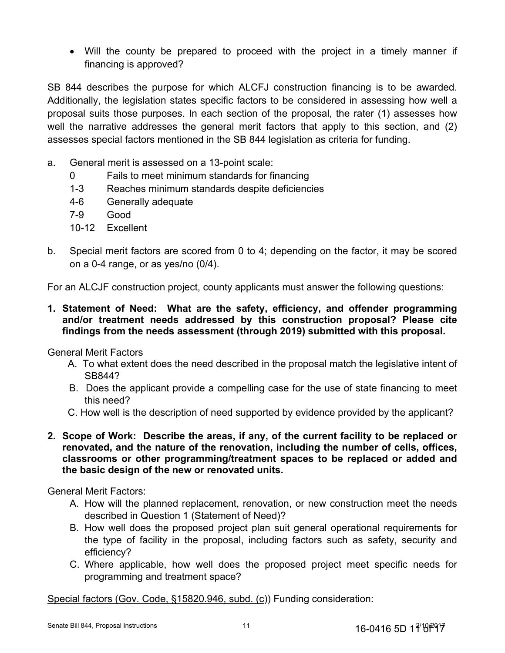Will the county be prepared to proceed with the project in a timely manner if financing is approved?

SB 844 describes the purpose for which ALCFJ construction financing is to be awarded. Additionally, the legislation states specific factors to be considered in assessing how well a proposal suits those purposes. In each section of the proposal, the rater (1) assesses how well the narrative addresses the general merit factors that apply to this section, and (2) assesses special factors mentioned in the SB 844 legislation as criteria for funding.

- a. General merit is assessed on a 13-point scale:
	- 0 Fails to meet minimum standards for financing
	- 1-3 Reaches minimum standards despite deficiencies
	- 4-6 Generally adequate
	- 7-9 Good
	- 10-12 Excellent
- b. Special merit factors are scored from 0 to 4; depending on the factor, it may be scored on a 0-4 range, or as yes/no (0/4).

For an ALCJF construction project, county applicants must answer the following questions:

**1. Statement of Need: What are the safety, efficiency, and offender programming and/or treatment needs addressed by this construction proposal? Please cite findings from the needs assessment (through 2019) submitted with this proposal.**

General Merit Factors

- A. To what extent does the need described in the proposal match the legislative intent of SB844?
- B. Does the applicant provide a compelling case for the use of state financing to meet this need?
- C. How well is the description of need supported by evidence provided by the applicant?

### **2. Scope of Work: Describe the areas, if any, of the current facility to be replaced or renovated, and the nature of the renovation, including the number of cells, offices, classrooms or other programming/treatment spaces to be replaced or added and the basic design of the new or renovated units.**

General Merit Factors:

- A. How will the planned replacement, renovation, or new construction meet the needs described in Question 1 (Statement of Need)?
- B. How well does the proposed project plan suit general operational requirements for the type of facility in the proposal, including factors such as safety, security and efficiency?
- C. Where applicable, how well does the proposed project meet specific needs for programming and treatment space?

Special factors (Gov. Code, §15820.946, subd. (c)) Funding consideration: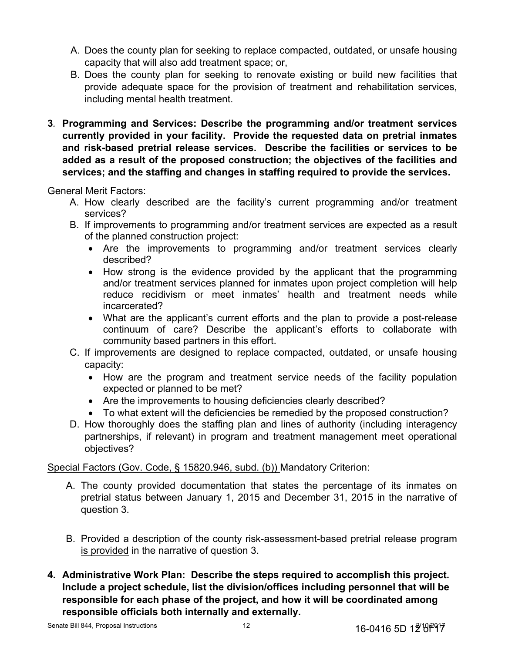- A. Does the county plan for seeking to replace compacted, outdated, or unsafe housing capacity that will also add treatment space; or,
- B. Does the county plan for seeking to renovate existing or build new facilities that provide adequate space for the provision of treatment and rehabilitation services, including mental health treatment.
- **3***.* **Programming and Services: Describe the programming and/or treatment services currently provided in your facility. Provide the requested data on pretrial inmates and risk-based pretrial release services. Describe the facilities or services to be added as a result of the proposed construction; the objectives of the facilities and services; and the staffing and changes in staffing required to provide the services.**

General Merit Factors:

- A. How clearly described are the facility's current programming and/or treatment services?
- B. If improvements to programming and/or treatment services are expected as a result of the planned construction project:
	- Are the improvements to programming and/or treatment services clearly described?
	- How strong is the evidence provided by the applicant that the programming and/or treatment services planned for inmates upon project completion will help reduce recidivism or meet inmates' health and treatment needs while incarcerated?
	- What are the applicant's current efforts and the plan to provide a post-release continuum of care? Describe the applicant's efforts to collaborate with community based partners in this effort.
- C. If improvements are designed to replace compacted, outdated, or unsafe housing capacity:
	- How are the program and treatment service needs of the facility population expected or planned to be met?
	- Are the improvements to housing deficiencies clearly described?
	- To what extent will the deficiencies be remedied by the proposed construction?
- D. How thoroughly does the staffing plan and lines of authority (including interagency partnerships, if relevant) in program and treatment management meet operational objectives?

### Special Factors (Gov. Code, § 15820.946, subd. (b)) Mandatory Criterion:

- A. The county provided documentation that states the percentage of its inmates on pretrial status between January 1, 2015 and December 31, 2015 in the narrative of question 3.
- B. Provided a description of the county risk-assessment-based pretrial release program is provided in the narrative of question 3.
- **4. Administrative Work Plan: Describe the steps required to accomplish this project. Include a project schedule, list the division/offices including personnel that will be responsible for each phase of the project, and how it will be coordinated among responsible officials both internally and externally.**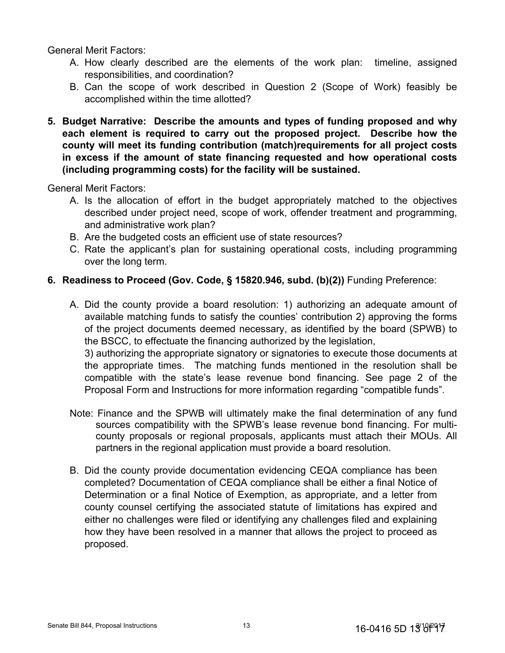General Merit Factors:

- A. How clearly described are the elements of the work plan: timeline, assigned responsibilities, and coordination?
- B. Can the scope of work described in Question 2 (Scope of Work) feasibly be accomplished within the time allotted?
- **5. Budget Narrative: Describe the amounts and types of funding proposed and why each element is required to carry out the proposed project. Describe how the county will meet its funding contribution (match)requirements for all project costs in excess if the amount of state financing requested and how operational costs (including programming costs) for the facility will be sustained.**

General Merit Factors:

- A. Is the allocation of effort in the budget appropriately matched to the objectives described under project need, scope of work, offender treatment and programming, and administrative work plan?
- B. Are the budgeted costs an efficient use of state resources?
- C. Rate the applicant's plan for sustaining operational costs, including programming over the long term.

#### **6. Readiness to Proceed (Gov. Code, § 15820.946, subd. (b)(2))** Funding Preference:

A. Did the county provide a board resolution: 1) authorizing an adequate amount of available matching funds to satisfy the counties' contribution 2) approving the forms of the project documents deemed necessary, as identified by the board (SPWB) to the BSCC, to effectuate the financing authorized by the legislation, 3) authorizing the appropriate signatory or signatories to execute those documents at

the appropriate times. The matching funds mentioned in the resolution shall be compatible with the state's lease revenue bond financing. See page 2 of the Proposal Form and Instructions for more information regarding "compatible funds".

- Note: Finance and the SPWB will ultimately make the final determination of any fund sources compatibility with the SPWB's lease revenue bond financing. For multicounty proposals or regional proposals, applicants must attach their MOUs. All partners in the regional application must provide a board resolution.
- B. Did the county provide documentation evidencing CEQA compliance has been completed? Documentation of CEQA compliance shall be either a final Notice of Determination or a final Notice of Exemption, as appropriate, and a letter from county counsel certifying the associated statute of limitations has expired and either no challenges were filed or identifying any challenges filed and explaining how they have been resolved in a manner that allows the project to proceed as proposed.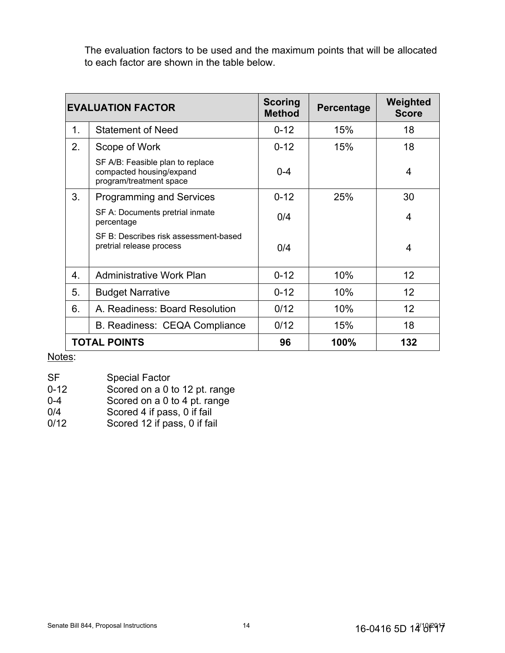The evaluation factors to be used and the maximum points that will be allocated to each factor are shown in the table below.

| <b>EVALUATION FACTOR</b> |                                                                                         | <b>Scoring</b><br><b>Method</b> | <b>Percentage</b> | Weighted<br><b>Score</b> |
|--------------------------|-----------------------------------------------------------------------------------------|---------------------------------|-------------------|--------------------------|
| 1.                       | <b>Statement of Need</b>                                                                | $0 - 12$                        | 15%               | 18                       |
| 2.                       | Scope of Work                                                                           | $0 - 12$                        | 15%               | 18                       |
|                          | SF A/B: Feasible plan to replace<br>compacted housing/expand<br>program/treatment space | $0 - 4$                         |                   | 4                        |
| 3.                       | Programming and Services                                                                | $0 - 12$                        | 25%               | 30                       |
|                          | SF A: Documents pretrial inmate<br>percentage                                           | 0/4                             |                   | $\overline{4}$           |
|                          | SF B: Describes risk assessment-based<br>pretrial release process                       | 0/4                             |                   | $\overline{4}$           |
| 4.                       | Administrative Work Plan                                                                | $0 - 12$                        | 10%               | 12                       |
| 5.                       | <b>Budget Narrative</b>                                                                 | $0 - 12$                        | 10%               | 12                       |
| 6.                       | A. Readiness: Board Resolution                                                          | 0/12                            | 10%               | 12                       |
|                          | B. Readiness: CEQA Compliance                                                           | 0/12                            | 15%               | 18                       |
|                          | <b>TOTAL POINTS</b>                                                                     | 96                              | 100%              | 132                      |

Notes:

- SF Special Factor
- 0-12 Scored on a 0 to 12 pt. range<br>0-4 Scored on a 0 to 4 pt. range
- Scored on a 0 to 4 pt. range
- 0/4 Scored 4 if pass, 0 if fail
- 0/12 Scored 12 if pass, 0 if fail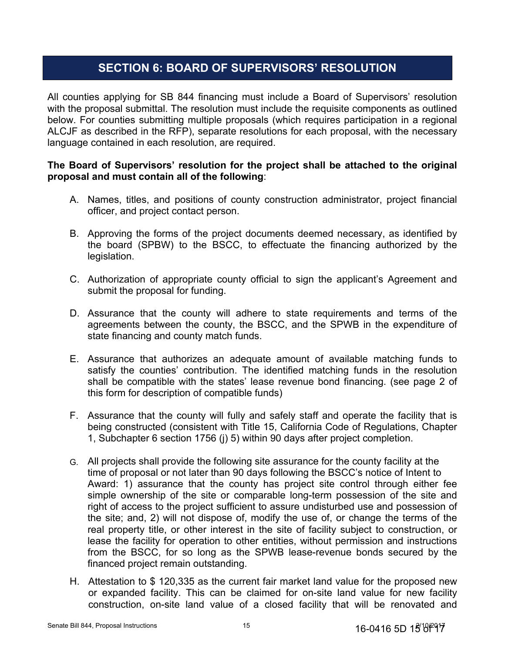## **SECTION 6: BOARD OF SUPERVISORS' RESOLUTION**

All counties applying for SB 844 financing must include a Board of Supervisors' resolution with the proposal submittal. The resolution must include the requisite components as outlined below. For counties submitting multiple proposals (which requires participation in a regional ALCJF as described in the RFP), separate resolutions for each proposal, with the necessary language contained in each resolution, are required.

### **The Board of Supervisors' resolution for the project shall be attached to the original proposal and must contain all of the following**:

- A. Names, titles, and positions of county construction administrator, project financial officer, and project contact person.
- B. Approving the forms of the project documents deemed necessary, as identified by the board (SPBW) to the BSCC, to effectuate the financing authorized by the legislation.
- C. Authorization of appropriate county official to sign the applicant's Agreement and submit the proposal for funding.
- D. Assurance that the county will adhere to state requirements and terms of the agreements between the county, the BSCC, and the SPWB in the expenditure of state financing and county match funds.
- E. Assurance that authorizes an adequate amount of available matching funds to satisfy the counties' contribution. The identified matching funds in the resolution shall be compatible with the states' lease revenue bond financing. (see page 2 of this form for description of compatible funds)
- F. Assurance that the county will fully and safely staff and operate the facility that is being constructed (consistent with Title 15, California Code of Regulations, Chapter 1, Subchapter 6 section 1756 (j) 5) within 90 days after project completion.
- G. All projects shall provide the following site assurance for the county facility at the time of proposal or not later than 90 days following the BSCC's notice of Intent to Award: 1) assurance that the county has project site control through either fee simple ownership of the site or comparable long-term possession of the site and right of access to the project sufficient to assure undisturbed use and possession of the site; and, 2) will not dispose of, modify the use of, or change the terms of the real property title, or other interest in the site of facility subject to construction, or lease the facility for operation to other entities, without permission and instructions from the BSCC, for so long as the SPWB lease-revenue bonds secured by the financed project remain outstanding.
- H. Attestation to \$ 120,335 as the current fair market land value for the proposed new or expanded facility. This can be claimed for on-site land value for new facility construction, on-site land value of a closed facility that will be renovated and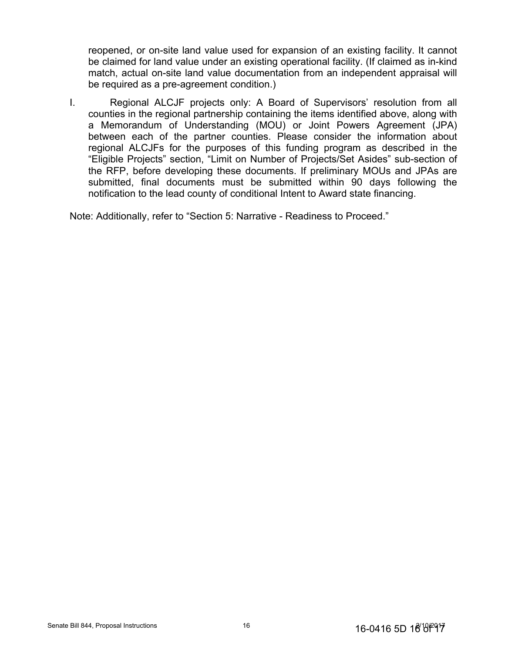reopened, or on-site land value used for expansion of an existing facility. It cannot be claimed for land value under an existing operational facility. (If claimed as in-kind match, actual on-site land value documentation from an independent appraisal will be required as a pre-agreement condition.)

I. Regional ALCJF projects only: A Board of Supervisors' resolution from all counties in the regional partnership containing the items identified above, along with a Memorandum of Understanding (MOU) or Joint Powers Agreement (JPA) between each of the partner counties. Please consider the information about regional ALCJFs for the purposes of this funding program as described in the "Eligible Projects" section, "Limit on Number of Projects/Set Asides" sub-section of the RFP, before developing these documents. If preliminary MOUs and JPAs are submitted, final documents must be submitted within 90 days following the notification to the lead county of conditional Intent to Award state financing.

Note: Additionally, refer to "Section 5: Narrative - Readiness to Proceed."